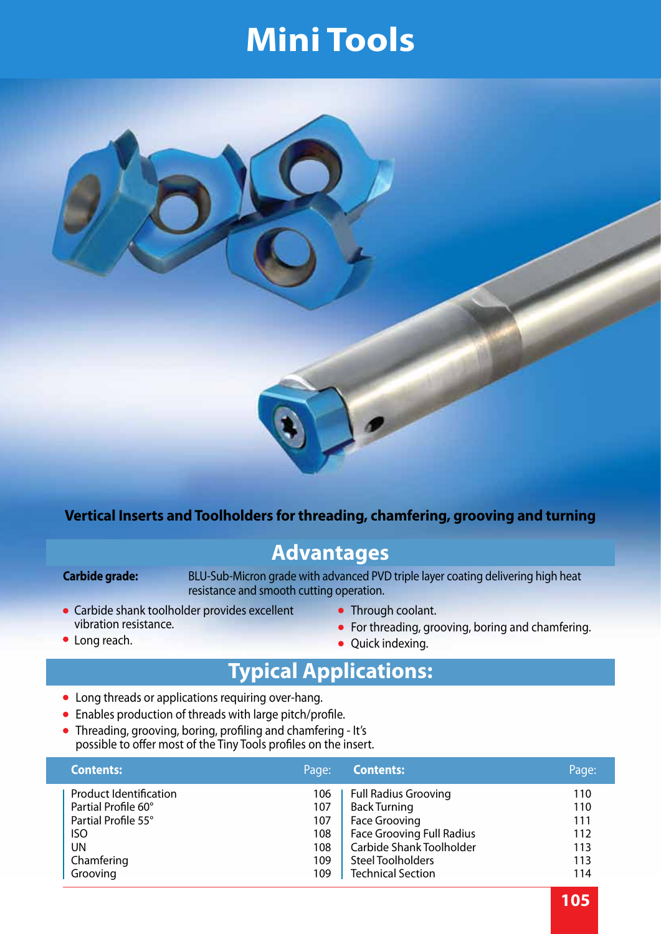

#### **Vertical Inserts and Toolholders for threading, chamfering, grooving and turning**

#### **Advantages**

• Long reach.

**Carbide grade:** BLU-Sub-Micron grade with advanced PVD triple layer coating delivering high heat resistance and smooth cutting operation.

- Carbide shank toolholder provides excellent vibration resistance.
- Through coolant.
- For threading, grooving, boring and chamfering.
- Quick indexing.

#### **Typical Applications:**

- Long threads or applications requiring over-hang.
- Enables production of threads with large pitch/profile.
- Threading, grooving, boring, profiling and chamfering It's possible to offer most of the Tiny Tools profiles on the insert.

| <b>Contents:</b>              | Page: | <b>Contents:</b>                 | Page: |
|-------------------------------|-------|----------------------------------|-------|
| <b>Product Identification</b> | 106   | <b>Full Radius Grooving</b>      | 110   |
| Partial Profile 60°           | 107   | <b>Back Turning</b>              | 110   |
| Partial Profile 55°           | 107   | <b>Face Grooving</b>             | 111   |
| <b>ISO</b>                    | 108   | <b>Face Grooving Full Radius</b> | 112   |
| <b>UN</b>                     | 108   | Carbide Shank Toolholder         | 113   |
| Chamfering                    | 109   | <b>Steel Toolholders</b>         | 113   |
| Grooving                      | 109   | <b>Technical Section</b>         | 114   |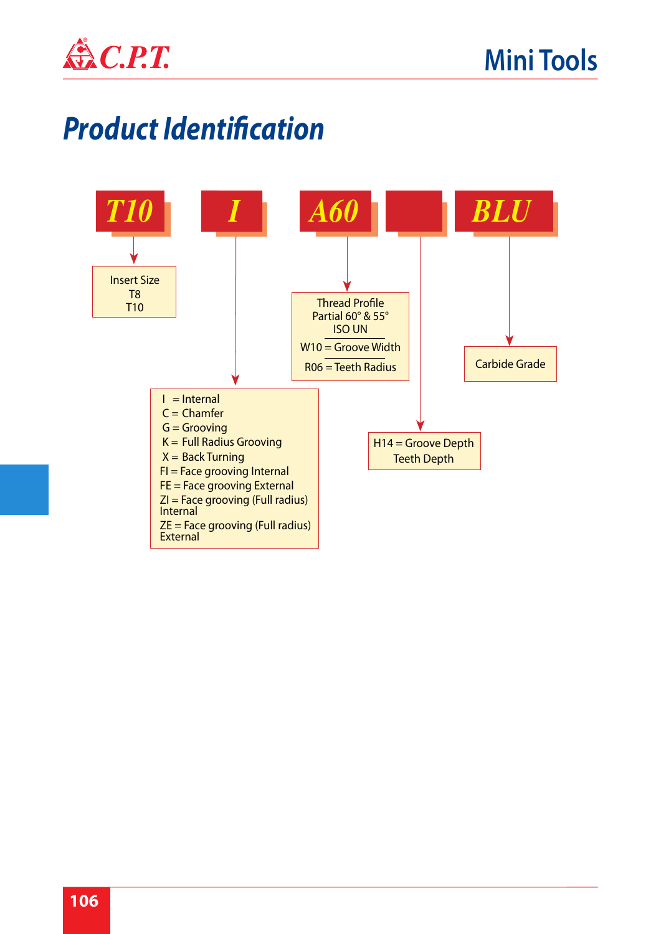

### *Product Identification*

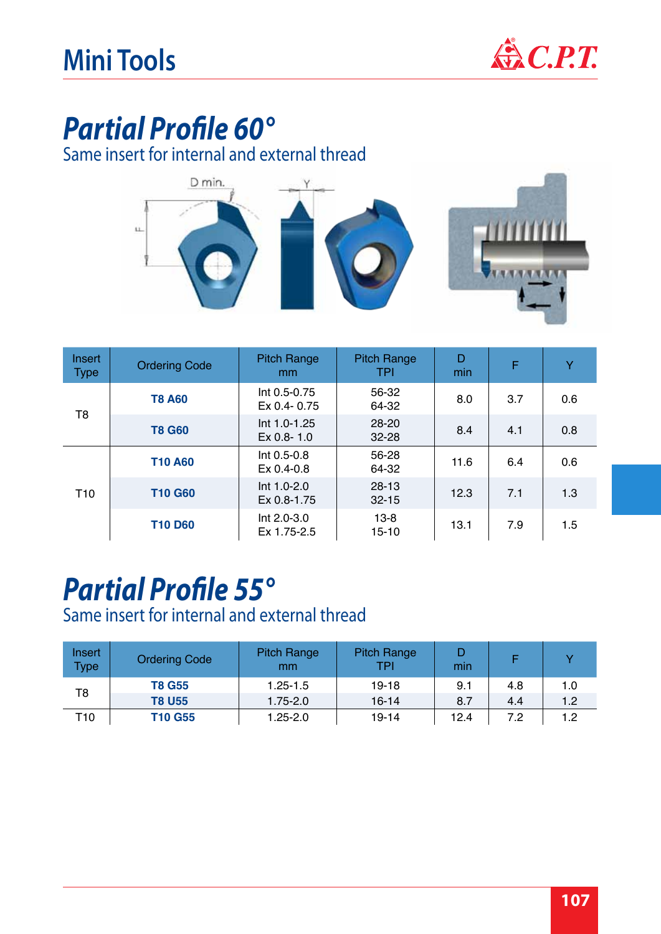

### *Partial Profile 60°*

Same insert for internal and external thread



| Insert<br><b>Type</b> | <b>Ordering Code</b> | <b>Pitch Range</b><br><sub>mm</sub> | <b>Pitch Range</b><br><b>TPI</b> | D<br>min | F   | Y   |
|-----------------------|----------------------|-------------------------------------|----------------------------------|----------|-----|-----|
| T <sub>8</sub>        | <b>T8 A60</b>        | $Int 0.5 - 0.75$<br>Ex 0.4-0.75     | 56-32<br>64-32                   | 8.0      | 3.7 | 0.6 |
|                       | <b>T8 G60</b>        | Int 1.0-1.25<br>$Ex 0.8 - 1.0$      | $28 - 20$<br>$32 - 28$           | 8.4      | 4.1 | 0.8 |
| T <sub>10</sub>       | <b>T10 A60</b>       | Int 0.5-0.8<br>$Ex 0.4 - 0.8$       | 56-28<br>64-32                   | 11.6     | 6.4 | 0.6 |
|                       | <b>T10 G60</b>       | $Int 1.0 - 2.0$<br>Ex 0.8-1.75      | $28-13$<br>$32 - 15$             | 12.3     | 7.1 | 1.3 |
|                       | <b>T10 D60</b>       | Int 2.0-3.0<br>Ex 1.75-2.5          | $13 - 8$<br>15-10                | 13.1     | 7.9 | 1.5 |

#### *Partial Profile 55°*

Same insert for internal and external thread

| <b>Insert</b><br><b>Type</b> | <b>Ordering Code</b> | <b>Pitch Range</b><br>mm | <b>Pitch Range</b><br>TPI | min  |     |     |
|------------------------------|----------------------|--------------------------|---------------------------|------|-----|-----|
|                              | <b>T8 G55</b>        | $1.25 - 1.5$             | 19-18                     | 9.1  | 4.8 | 1.0 |
| T8                           | <b>T8 U55</b>        | $1.75 - 2.0$             | 16-14                     | 8.7  | 4.4 | 1.2 |
| T <sub>10</sub>              | T10 G55              | $1.25 - 2.0$             | 19-14                     | 12.4 | 7.2 | 1.2 |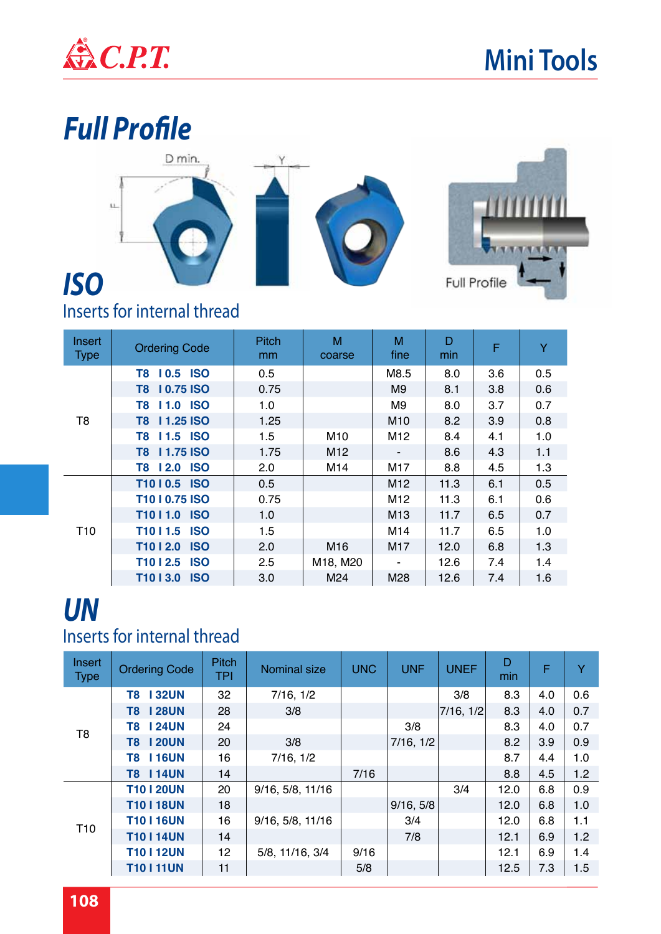

# *Full Profile* D min.  $\mathbf{u}$ *ISO* Full Profile

#### Inserts for internal thread

| Insert<br><b>Type</b> | <b>Ordering Code</b>                | <b>Pitch</b><br>mm | M<br>coarse     | M<br>fine       | D<br>min | F   | Y   |
|-----------------------|-------------------------------------|--------------------|-----------------|-----------------|----------|-----|-----|
|                       | 10.5 ISO<br>T8                      | 0.5                |                 | M8.5            | 8.0      | 3.6 | 0.5 |
|                       | T8 10.75 ISO                        | 0.75               |                 | M9              | 8.1      | 3.8 | 0.6 |
| T <sub>8</sub>        | <b>11.0 ISO</b><br>T8               | 1.0                |                 | M <sub>9</sub>  | 8.0      | 3.7 | 0.7 |
|                       | T8 11.25 ISO                        | 1.25               |                 | M10             | 8.2      | 3.9 | 0.8 |
|                       | T8 11.5 ISO                         | 1.5                | M10             | M <sub>12</sub> | 8.4      | 4.1 | 1.0 |
|                       | T8 11.75 ISO                        | 1.75               | M <sub>12</sub> |                 | 8.6      | 4.3 | 1.1 |
|                       | <b>ISO</b><br>T8 12.0               | 2.0                | M14             | M17             | 8.8      | 4.5 | 1.3 |
|                       | T1010.5 ISO                         | 0.5                |                 | M12             | 11.3     | 6.1 | 0.5 |
|                       | T1010.75 ISO                        | 0.75               |                 | M12             | 11.3     | 6.1 | 0.6 |
|                       | T1011.0 ISO                         | 1.0                |                 | M <sub>13</sub> | 11.7     | 6.5 | 0.7 |
| T <sub>10</sub>       | T1011.5 ISO                         | 1.5                |                 | M14             | 11.7     | 6.5 | 1.0 |
|                       | T1012.0 ISO                         | 2.0                | M16             | M17             | 12.0     | 6.8 | 1.3 |
|                       | T <sub>10</sub>   2.5<br><b>ISO</b> | 2.5                | M18, M20        |                 | 12.6     | 7.4 | 1.4 |
|                       | <b>ISO</b><br>T <sub>10</sub>   3.0 | 3.0                | M24             | M28             | 12.6     | 7.4 | 1.6 |

#### *UN* Inserts for internal thread

| Insert<br><b>Type</b> | <b>Ordering Code</b> | <b>Pitch</b><br><b>TPI</b> | <b>Nominal size</b> | <b>UNC</b> | <b>UNF</b> | <b>UNEF</b> | D<br>min | F   | Y   |
|-----------------------|----------------------|----------------------------|---------------------|------------|------------|-------------|----------|-----|-----|
|                       | <b>T8 132UN</b>      | 32                         | 7/16, 1/2           |            |            | 3/8         | 8.3      | 4.0 | 0.6 |
|                       | <b>T8 128UN</b>      | 28                         | 3/8                 |            |            | 7/16, 1/2   | 8.3      | 4.0 | 0.7 |
| T <sub>8</sub>        | <b>T8 124UN</b>      | 24                         |                     |            | 3/8        |             | 8.3      | 4.0 | 0.7 |
|                       | <b>T8 120UN</b>      | 20                         | 3/8                 |            | 7/16, 1/2  |             | 8.2      | 3.9 | 0.9 |
|                       | <b>T8 116UN</b>      | 16                         | 7/16, 1/2           |            |            |             | 8.7      | 4.4 | 1.0 |
|                       | <b>T8 114UN</b>      | 14                         |                     | 7/16       |            |             | 8.8      | 4.5 | 1.2 |
|                       | <b>T10 I 20UN</b>    | 20                         | 9/16, 5/8, 11/16    |            |            | 3/4         | 12.0     | 6.8 | 0.9 |
|                       | <b>T10   18UN</b>    | 18                         |                     |            | 9/16, 5/8  |             | 12.0     | 6.8 | 1.0 |
| T <sub>10</sub>       | <b>T10   16UN</b>    | 16                         | 9/16, 5/8, 11/16    |            | 3/4        |             | 12.0     | 6.8 | 1.1 |
|                       | <b>T10 I 14UN</b>    | 14                         |                     |            | 7/8        |             | 12.1     | 6.9 | 1.2 |
|                       | <b>T10 I 12UN</b>    | 12                         | 5/8, 11/16, 3/4     | 9/16       |            |             | 12.1     | 6.9 | 1.4 |
|                       | <b>T10111UN</b>      | 11                         |                     | 5/8        |            |             | 12.5     | 7.3 | 1.5 |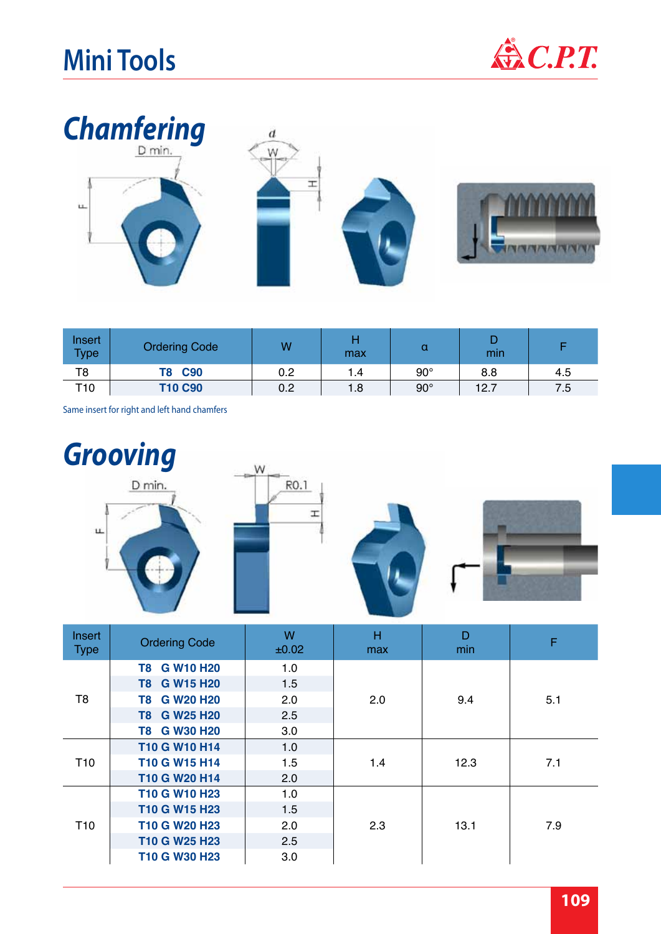



| Insert<br><b>Type</b> | <b>Ordering Code</b> | W   | max | u          | min  |     |
|-----------------------|----------------------|-----|-----|------------|------|-----|
| T8                    | <b>C90</b><br>T8     | 0.2 | 1.4 | $90^\circ$ | 8.8  | 4.5 |
| T <sub>10</sub>       | <b>T10 C90</b>       | 0.2 | 1.8 | $90^\circ$ | 12.7 | 7.5 |

Same insert for right and left hand chamfers



| <b>Insert</b><br><b>Type</b> | <b>Ordering Code</b>                              | W<br>±0.02 | н<br>max | D<br>min | F   |
|------------------------------|---------------------------------------------------|------------|----------|----------|-----|
|                              | T8 G W10 H20                                      | 1.0        | 2.0      |          |     |
|                              | T8 G W15 H20                                      | 1.5        |          |          |     |
| T <sub>8</sub>               | T8 G W20 H20                                      | 2.0        |          | 9.4      | 5.1 |
|                              | T8 G W25 H20                                      | 2.5        |          |          |     |
|                              | T8 G W30 H20                                      | 3.0        |          |          |     |
|                              | <b>T10 G W10 H14</b>                              | 1.0        | 1.4      | 12.3     | 7.1 |
| T <sub>10</sub>              | T10 G W15 H14                                     | 1.5        |          |          |     |
|                              | T10 G W20 H14                                     | 2.0        |          |          |     |
|                              | T <sub>10</sub> G W <sub>10</sub> H <sub>23</sub> | 1.0        |          |          |     |
|                              | T10 G W15 H23                                     | 1.5        |          |          |     |
| T <sub>10</sub>              | T <sub>10</sub> G W <sub>20</sub> H <sub>23</sub> | 2.0        | 2.3      | 13.1     | 7.9 |
|                              | T10 G W25 H23                                     | 2.5        |          |          |     |
|                              | T <sub>10</sub> G W <sub>30</sub> H <sub>23</sub> | 3.0        |          |          |     |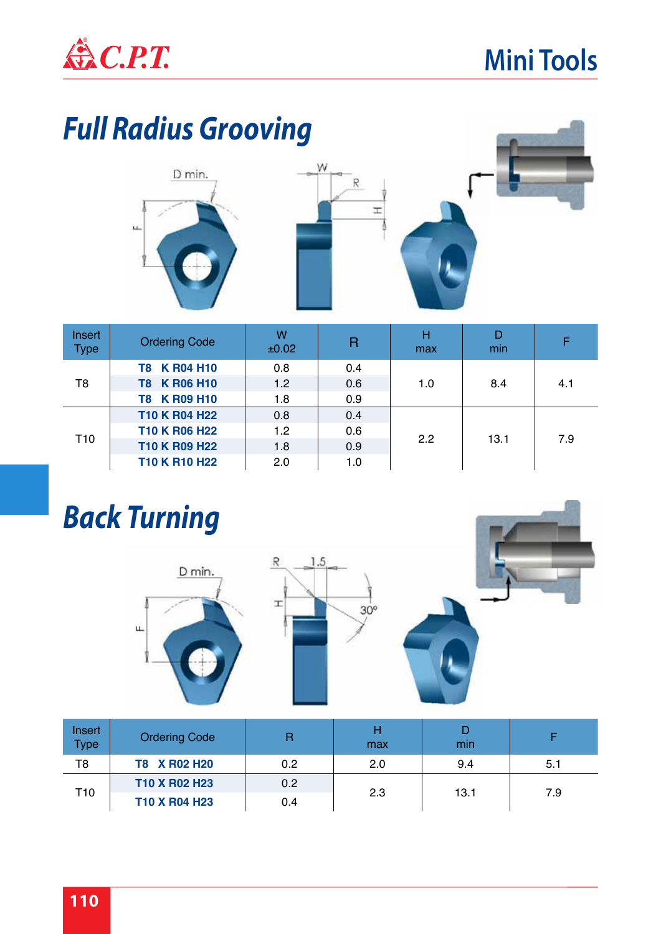

# *Full Radius Grooving*





| Insert<br><b>Type</b> | <b>Ordering Code</b> | W<br>±0.02 | $\mathsf{R}$ | н<br>max | D<br>min | F   |
|-----------------------|----------------------|------------|--------------|----------|----------|-----|
|                       | T8 K R04 H10         | 0.8        | 0.4          |          | 8.4      | 4.1 |
| T <sub>8</sub>        | T8 K R06 H10         | 1.2        | 0.6          | 1.0      |          |     |
|                       | T8 K R09 H10         | 1.8        | 0.9          |          |          |     |
|                       | T10 K R04 H22        | 0.8        | 0.4          |          | 13.1     | 7.9 |
| T <sub>10</sub>       | T10 K R06 H22        | 1.2        | 0.6          | 2.2      |          |     |
|                       | T10 K R09 H22        | 1.8        | 0.9          |          |          |     |
|                       | T10 K R10 H22        | 2.0        | 1.0          |          |          |     |

# *Back Turning*







| Insert<br><b>Type</b> | <b>Ordering Code</b> | R   | Н<br>max | min  |     |
|-----------------------|----------------------|-----|----------|------|-----|
| T8                    | T8 X R02 H20         | 0.2 | 2.0      | 9.4  | 5.1 |
| T <sub>10</sub>       | T10 X R02 H23        | 0.2 |          |      |     |
|                       | T10 X R04 H23        | 0.4 | 2.3      | 13.1 | 7.9 |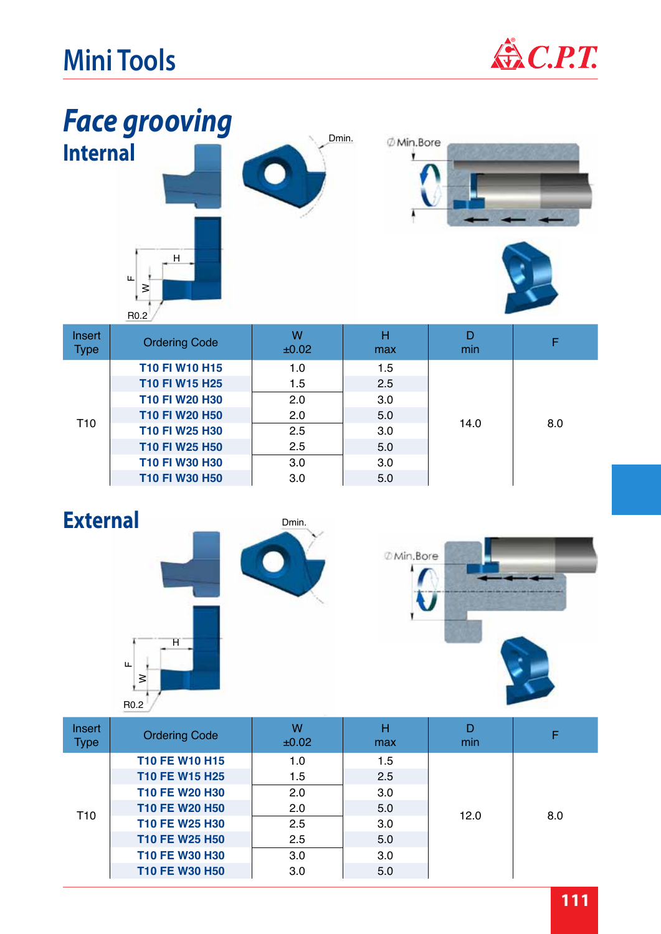



| Insert<br><b>Type</b> | <b>Ordering Code</b> | W<br>±0.02 | н<br>max | min  |     |
|-----------------------|----------------------|------------|----------|------|-----|
|                       | T10 FI W10 H15       | 1.0        | 1.5      |      |     |
|                       | T10 FI W15 H25       | 1.5        | 2.5      |      |     |
|                       | T10 FI W20 H30       | 2.0        | 3.0      |      |     |
| T <sub>10</sub>       | T10 FI W20 H50       | 2.0        | 5.0      | 14.0 | 8.0 |
|                       | T10 FI W25 H30       | 2.5        | 3.0      |      |     |
|                       | T10 FI W25 H50       | 2.5        | 5.0      |      |     |
|                       | T10 FI W30 H30       | 3.0        | 3.0      |      |     |
|                       | T10 FI W30 H50       | 3.0        | 5.0      |      |     |





| <b>Insert</b><br><b>Type</b> | <b>Ordering Code</b>  | W<br>±0.02 | н<br>max | D<br>min |     |
|------------------------------|-----------------------|------------|----------|----------|-----|
|                              | <b>T10 FE W10 H15</b> | 1.0        | 1.5      |          |     |
|                              | T10 FE W15 H25        | 1.5        | 2.5      |          | 8.0 |
|                              | T10 FE W20 H30        | 2.0        | 3.0      |          |     |
| T <sub>10</sub>              | T10 FE W20 H50        | 2.0        | 5.0      |          |     |
|                              | T10 FE W25 H30        | 2.5        | 3.0      | 12.0     |     |
|                              | T10 FE W25 H50        | 2.5        | 5.0      |          |     |
|                              | T10 FE W30 H30        | 3.0        | 3.0      |          |     |
|                              | T10 FE W30 H50        | 3.0        | 5.0      |          |     |
|                              |                       |            |          |          |     |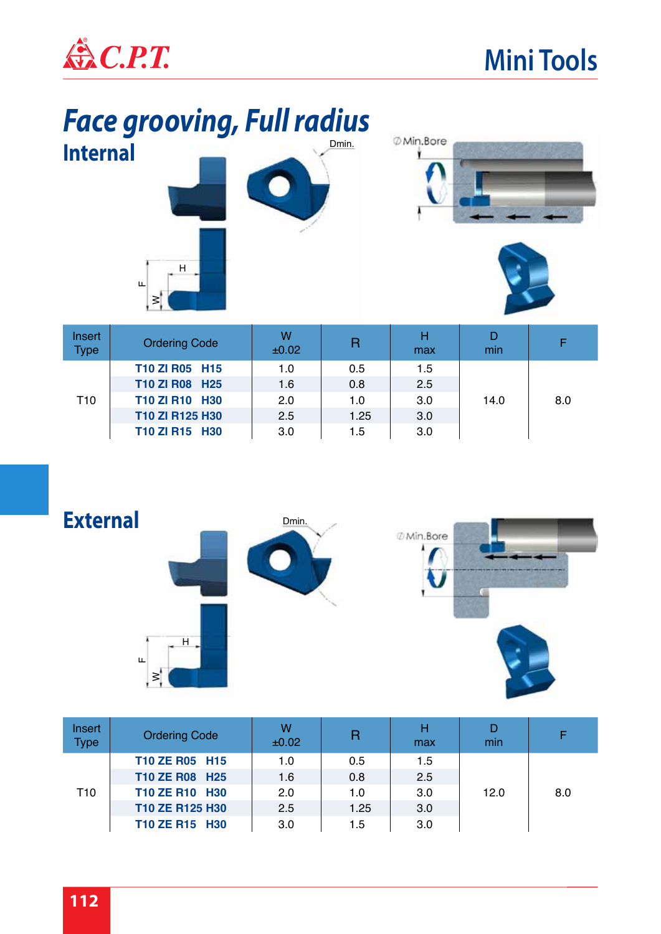

#### Dmin. *Face grooving, Full radius* **Internal**







| Insert<br><b>Type</b> | <b>Ordering Code</b> | w<br>±0.02 | $\overline{\mathsf{R}}$ | н<br>max | D<br>min |     |
|-----------------------|----------------------|------------|-------------------------|----------|----------|-----|
|                       | T10 ZI R05 H15       | 1.0        | 0.5                     | 1.5      | 14.0     | 8.0 |
| T10                   | T10 ZI R08 H25       | 1.6        | 0.8                     | 2.5      |          |     |
|                       | T10 ZI R10 H30       | 2.0        | 1.0                     | 3.0      |          |     |
|                       | T10 ZI R125 H30      | 2.5        | 1.25                    | 3.0      |          |     |
|                       | T10 ZI R15 H30       | 3.0        | 1.5                     | 3.0      |          |     |



| Insert<br><b>Type</b> | <b>Ordering Code</b> | w<br>±0.02 | R    | н<br>max | D<br>min |     |
|-----------------------|----------------------|------------|------|----------|----------|-----|
| T10                   | T10 ZE R05 H15       | 1.0        | 0.5  | 1.5      |          | 8.0 |
|                       | T10 ZE R08 H25       | 1.6        | 0.8  | 2.5      | 12.0     |     |
|                       | T10 ZE R10 H30       | 2.0        | 1.0  | 3.0      |          |     |
|                       | T10 ZE R125 H30      | 2.5        | 1.25 | 3.0      |          |     |
|                       | T10 ZE R15 H30       | 3.0        | 1.5  | 3.0      |          |     |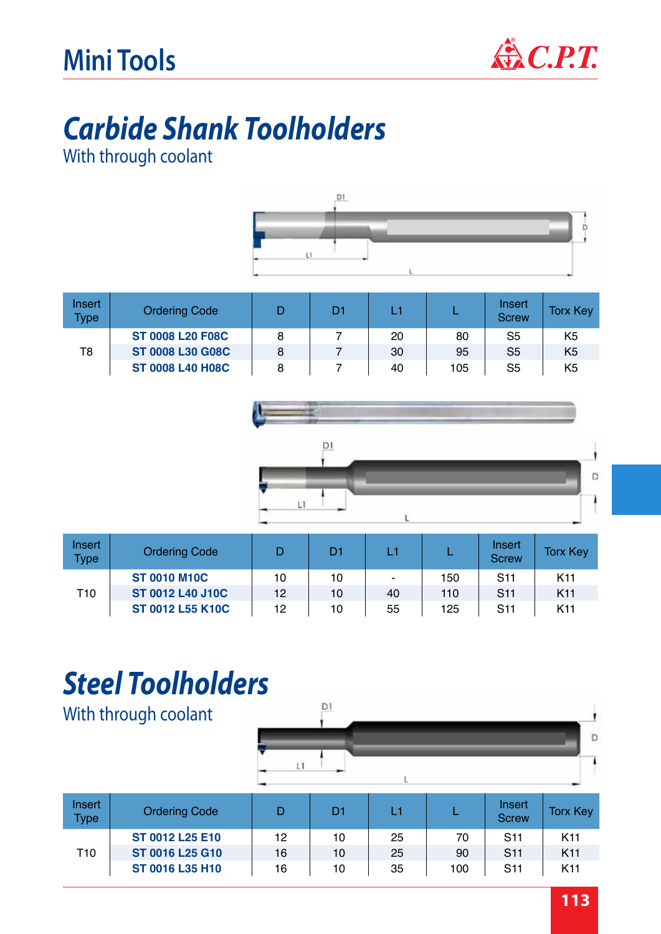

# *Carbide Shank Toolholders*

With through coolant



| Insert<br><b>Type</b> | <b>Ordering Code</b>    |   | D1 | L1 |     | Insert<br><b>Screw</b> | <b>Torx Key</b> |
|-----------------------|-------------------------|---|----|----|-----|------------------------|-----------------|
|                       | <b>ST 0008 L20 F08C</b> | 8 |    | 20 | 80  | S5                     | K <sub>5</sub>  |
| T8                    | <b>ST 0008 L30 G08C</b> | 8 |    | 30 | 95  | S <sub>5</sub>         | K <sub>5</sub>  |
|                       | <b>ST 0008 L40 H08C</b> | 8 |    | 40 | 105 | S5                     | K <sub>5</sub>  |





| Insert<br><b>Type</b> | <b>Ordering Code</b>    |    | D1 | L1 |     | Insert<br><b>Screw</b> | <b>Torx Key</b> |
|-----------------------|-------------------------|----|----|----|-----|------------------------|-----------------|
| T10                   | <b>ST 0010 M10C</b>     | 10 | 10 | ۰  | 150 | <b>S11</b>             | K <sub>11</sub> |
|                       | <b>ST 0012 L40 J10C</b> | 12 | 10 | 40 | 110 | <b>S<sub>11</sub></b>  | K <sub>11</sub> |
|                       | ST 0012 L55 K10C        | 12 | 10 | 55 | 125 | <b>S11</b>             | K <sub>11</sub> |

## *Steel Toolholders*

With through coolant



| Insert<br><b>Type</b> | <b>Ordering Code</b> |    | D1 |    |     | Insert<br><b>Screw</b> | <b>Torx Key</b> |
|-----------------------|----------------------|----|----|----|-----|------------------------|-----------------|
|                       | ST 0012 L25 E10      | 12 | 10 | 25 | 70  | <b>S<sub>11</sub></b>  | K <sub>11</sub> |
| T10                   | ST 0016 L25 G10      | 16 | 10 | 25 | 90  | <b>S11</b>             | K <sub>11</sub> |
|                       | ST 0016 L35 H10      | 16 | 10 | 35 | 100 | <b>S11</b>             | K <sub>11</sub> |